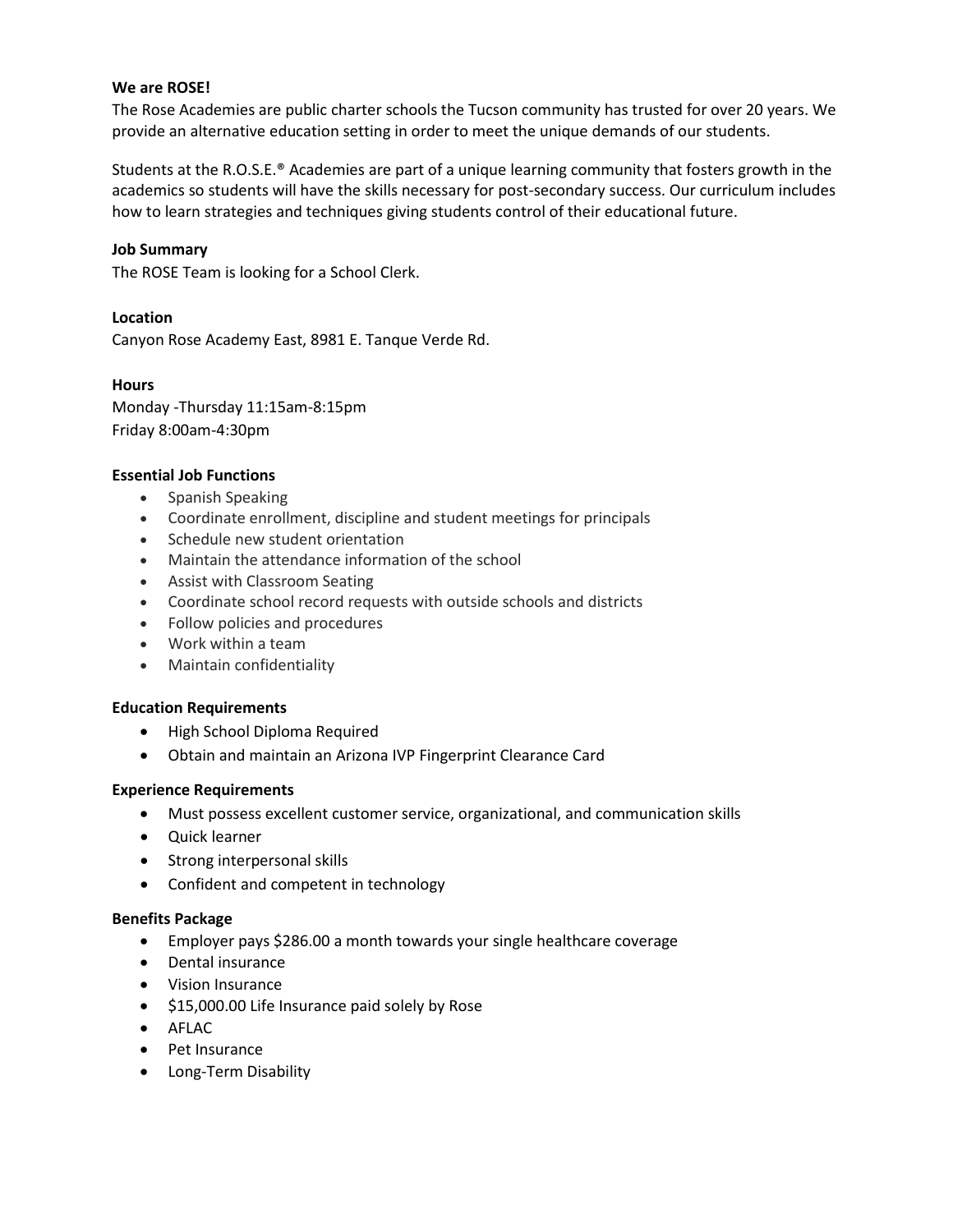## **We are ROSE!**

The Rose Academies are public charter schools the Tucson community has trusted for over 20 years. We provide an alternative education setting in order to meet the unique demands of our students.

Students at the R.O.S.E.® Academies are part of a unique learning community that fosters growth in the academics so students will have the skills necessary for post-secondary success. Our curriculum includes how to learn strategies and techniques giving students control of their educational future.

## **Job Summary**

The ROSE Team is looking for a School Clerk.

# **Location**

Canyon Rose Academy East, 8981 E. Tanque Verde Rd.

## **Hours**

Monday -Thursday 11:15am-8:15pm Friday 8:00am-4:30pm

## **Essential Job Functions**

- Spanish Speaking
- Coordinate enrollment, discipline and student meetings for principals
- Schedule new student orientation
- Maintain the attendance information of the school
- Assist with Classroom Seating
- Coordinate school record requests with outside schools and districts
- Follow policies and procedures
- Work within a team
- Maintain confidentiality

#### **Education Requirements**

- High School Diploma Required
- Obtain and maintain an Arizona IVP Fingerprint Clearance Card

#### **Experience Requirements**

- Must possess excellent customer service, organizational, and communication skills
- Quick learner
- Strong interpersonal skills
- Confident and competent in technology

#### **Benefits Package**

- Employer pays \$286.00 a month towards your single healthcare coverage
- Dental insurance
- Vision Insurance
- \$15,000.00 Life Insurance paid solely by Rose
- AFLAC
- Pet Insurance
- Long-Term Disability